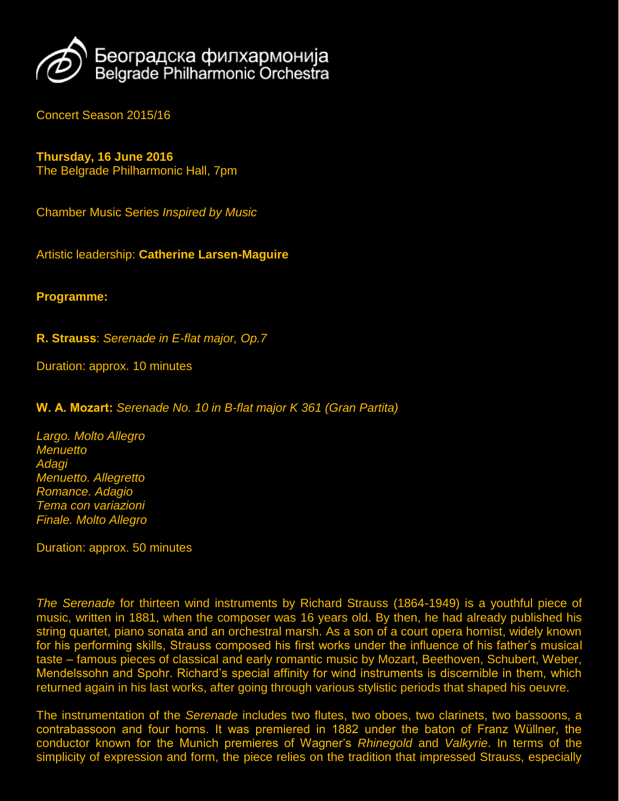

Concert Season 2015/16

## **Thursday, 16 June 2016**

The Belgrade Philharmonic Hall, 7pm

Chamber Music Series *Inspired by Music*

Artistic leadership: **Catherine Larsen-Maguire**

## **Programme:**

**R. Strauss**: *Serenade in E-flat major, Op.7*

Duration: approx. 10 minutes

**W. А. Mozart:** *Serenade No. 10 in B-flat major K 361 (Gran Partita)*

*[Largo.](https://en.wikipedia.org/wiki/Tempo#Italian_tempo_markings) Molto Allegro [Menuetto](https://en.wikipedia.org/wiki/Minuet) Adagi Menuetto. Allegretto [Romance.](https://en.wikipedia.org/wiki/Romance_%28music%29) Adagio Tema con [variazioni](https://en.wikipedia.org/wiki/Variation_%28music%29) Finale. Molto Allegro*

Duration: approx. 50 minutes

*The Serenade* for thirteen wind instruments by Richard Strauss (1864-1949) is a youthful piece of music, written in 1881, when the composer was 16 years old. By then, he had already published his string quartet, piano sonata and an orchestral marsh. As a son of a court opera hornist, widely known for his performing skills, Strauss composed his first works under the influence of his father's musical taste – famous pieces of classical and early romantic music by Mozart, Beethoven, Schubert, Weber, Mendelssohn and Spohr. Richard's special affinity for wind instruments is discernible in them, which returned again in his last works, after going through various stylistic periods that shaped his oeuvre.

The instrumentation of the *Serenade* includes two flutes, two oboes, two clarinets, two bassoons, a contrabassoon and four horns. It was premiered in 1882 under the baton of Franz Wüllner, the conductor known for the Munich premieres of Wagner's *Rhinegold* and *Valkyrie*. In terms of the simplicity of expression and form, the piece relies on the tradition that impressed Strauss, especially